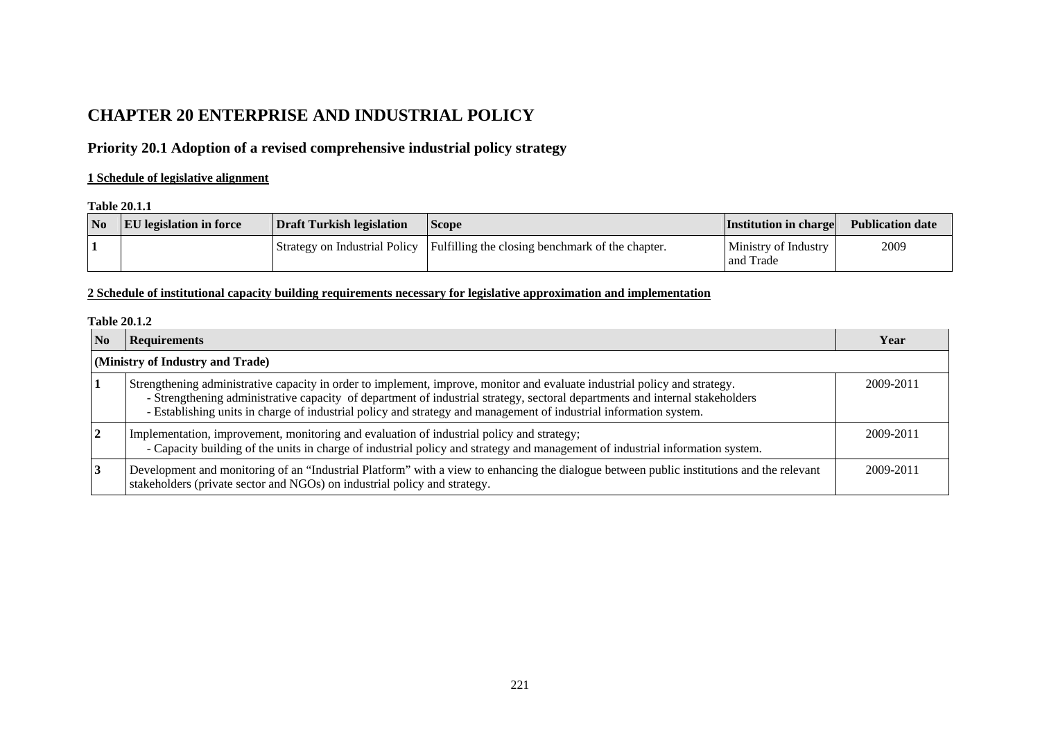# **CHAPTER 20 ENTERPRISE AND INDUSTRIAL POLICY**

## **Priority 20.1 Adoption of a revised comprehensive industrial policy strategy**

## **1 Schedule of legislative alignment**

#### **Table 20.1.1**

| N <sub>o</sub> | <b>EU</b> legislation in force | Draft Turkish legislation | <b>Scope</b>                                                                     | <b>Institution in charge</b>      | <b>Publication date</b> |
|----------------|--------------------------------|---------------------------|----------------------------------------------------------------------------------|-----------------------------------|-------------------------|
|                |                                |                           | Strategy on Industrial Policy   Fulfilling the closing benchmark of the chapter. | Ministry of Industry<br>and Trade | 2009                    |

## **2 Schedule of institutional capacity building requirements necessary for legislative approximation and implementation**

#### **Table 20.1.2**

| $\overline{\text{No}}$           | <b>Requirements</b>                                                                                                                                                                                                                                                                                                                                                             | Year      |  |  |  |
|----------------------------------|---------------------------------------------------------------------------------------------------------------------------------------------------------------------------------------------------------------------------------------------------------------------------------------------------------------------------------------------------------------------------------|-----------|--|--|--|
| (Ministry of Industry and Trade) |                                                                                                                                                                                                                                                                                                                                                                                 |           |  |  |  |
|                                  | Strengthening administrative capacity in order to implement, improve, monitor and evaluate industrial policy and strategy.<br>- Strengthening administrative capacity of department of industrial strategy, sectoral departments and internal stakeholders<br>- Establishing units in charge of industrial policy and strategy and management of industrial information system. | 2009-2011 |  |  |  |
| $\mathbf{2}$                     | Implementation, improvement, monitoring and evaluation of industrial policy and strategy;<br>- Capacity building of the units in charge of industrial policy and strategy and management of industrial information system.                                                                                                                                                      | 2009-2011 |  |  |  |
|                                  | Development and monitoring of an "Industrial Platform" with a view to enhancing the dialogue between public institutions and the relevant<br>stakeholders (private sector and NGOs) on industrial policy and strategy.                                                                                                                                                          | 2009-2011 |  |  |  |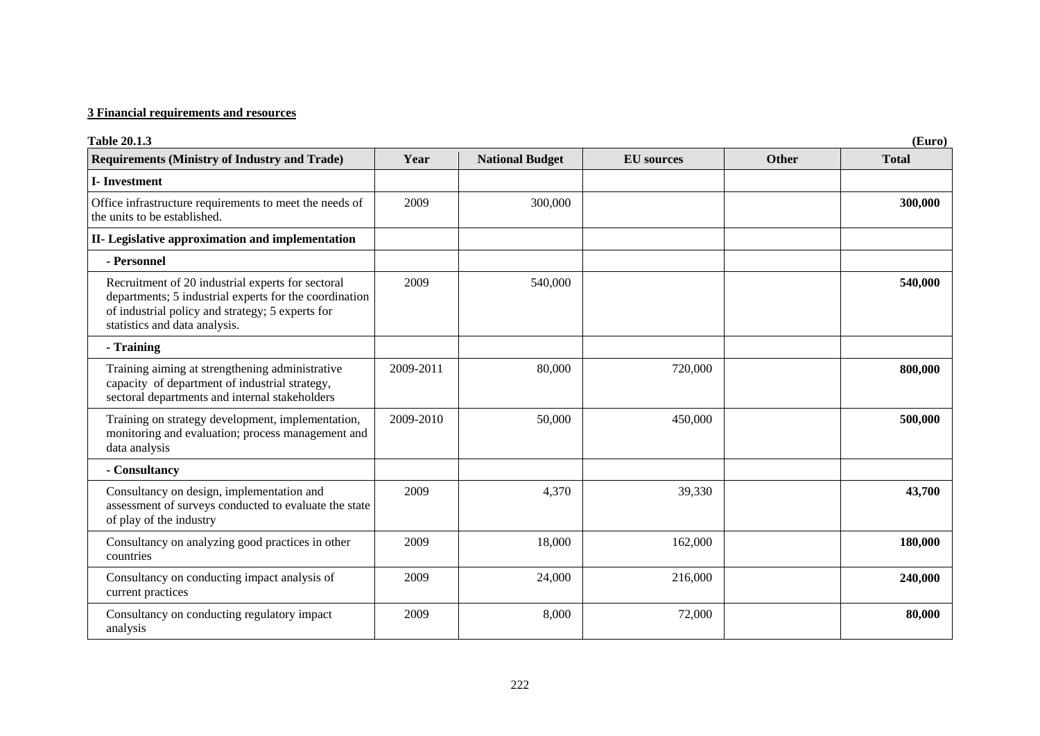### **3 Financial requirements and resources**

| <b>Table 20.1.3</b><br>(Euro)                                                                                                                                                                    |           |                        |                   |       |              |
|--------------------------------------------------------------------------------------------------------------------------------------------------------------------------------------------------|-----------|------------------------|-------------------|-------|--------------|
| <b>Requirements (Ministry of Industry and Trade)</b>                                                                                                                                             | Year      | <b>National Budget</b> | <b>EU</b> sources | Other | <b>Total</b> |
| <b>I-Investment</b>                                                                                                                                                                              |           |                        |                   |       |              |
| Office infrastructure requirements to meet the needs of<br>the units to be established.                                                                                                          | 2009      | 300,000                |                   |       | 300,000      |
| II- Legislative approximation and implementation                                                                                                                                                 |           |                        |                   |       |              |
| - Personnel                                                                                                                                                                                      |           |                        |                   |       |              |
| Recruitment of 20 industrial experts for sectoral<br>departments; 5 industrial experts for the coordination<br>of industrial policy and strategy; 5 experts for<br>statistics and data analysis. | 2009      | 540,000                |                   |       | 540,000      |
| - Training                                                                                                                                                                                       |           |                        |                   |       |              |
| Training aiming at strengthening administrative<br>capacity of department of industrial strategy,<br>sectoral departments and internal stakeholders                                              | 2009-2011 | 80,000                 | 720,000           |       | 800,000      |
| Training on strategy development, implementation,<br>monitoring and evaluation; process management and<br>data analysis                                                                          | 2009-2010 | 50,000                 | 450,000           |       | 500,000      |
| - Consultancy                                                                                                                                                                                    |           |                        |                   |       |              |
| Consultancy on design, implementation and<br>assessment of surveys conducted to evaluate the state<br>of play of the industry                                                                    | 2009      | 4,370                  | 39,330            |       | 43,700       |
| Consultancy on analyzing good practices in other<br>countries                                                                                                                                    | 2009      | 18,000                 | 162,000           |       | 180,000      |
| Consultancy on conducting impact analysis of<br>current practices                                                                                                                                | 2009      | 24,000                 | 216,000           |       | 240,000      |
| Consultancy on conducting regulatory impact<br>analysis                                                                                                                                          | 2009      | 8,000                  | 72,000            |       | 80,000       |